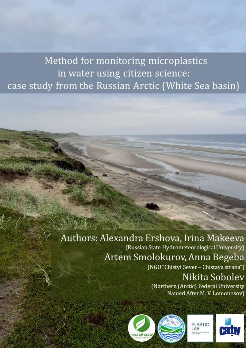## Method for monitoring microplastics in water using citizen science: case study from the Russian Arctic (White Sea basin)

### Authors: Alexandra Ershova, Irina Makeeva (Russian State Hydrometeorological University) Artem Smolokurov, Anna Begeba

(NGO "Chistyi Sever - Chistaya strana")

### Nikita Sobolev (Northern (Arctic) Federal University Named After M. V. Lomonosov)





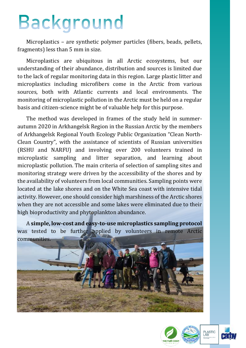## Background

Microplastics – are synthetic polymer particles (fibers, beads, pellets, fragments) less than 5 mm in size.

Microplastics are ubiquitous in all Arctic ecosystems, but our understanding of their abundance, distribution and sources is limited due to the lack of regular monitoring data in this region. Large plastic litter and microplastics including microfibers come in the Arctic from various sources, both with Atlantic currents and local environments. The monitoring of microplastic pollution in the Arctic must be held on a regular basis and citizen-science might be of valuable help for this purpose.

The method was developed in frames of the study held in summerautumn 2020 in Arkhangelsk Region in the Russian Arctic by the members of Arkhangelsk Regional Youth Ecology Public Organization "Clean North-Clean Country", with the assistance of scientists of Russian universities (RSHU and NARFU) and involving over 200 volunteers trained in microplastic sampling and litter separation, and learning about microplastic pollution. The main criteria of selection of sampling sites and monitoring strategy were driven by the accessibility of the shores and by the availability of volunteers from local communities. Sampling points were located at the lake shores and on the White Sea coast with intensive tidal activity. However, one should consider high marshiness of the Arctic shores when they are not accessible and some lakes were eliminated due to their high bioproductivity and phytoplankton abundance.

A **simple, low-cost and easy-to-use microplastics sampling protocol** was tested to be further applied by volunteers in remote Arctic communities.



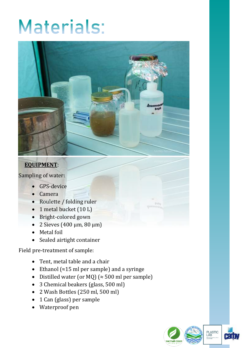# Materials:



### **EQUIPMENT**:

Sampling of water:

- GPS-device
- Camera
- Roulette / folding ruler
- 1 metal bucket (10 L)
- Bright-colored gown
- $\bullet$  2 Sieves (400 μm, 80 μm)
- Metal foil
- Sealed airtight container

Field pre-treatment of sample:

- Tent, metal table and a chair
- Ethanol ( $\approx$ 15 ml per sample) and a syringe
- Distilled water (or MQ) ( $\approx$  500 ml per sample)
- 3 Chemical beakers (glass, 500 ml)
- 2 Wash Bottles (250 ml, 500 ml)
- 1 Can (glass) per sample
- Waterproof pen

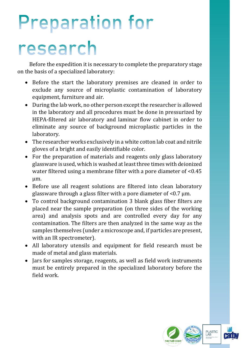# **Preparation for**

## research

Before the expedition it is necessary to complete the preparatory stage on the basis of a specialized laboratory:

- Before the start the laboratory premises are cleaned in order to exclude any source of microplastic contamination of laboratory equipment, furniture and air.
- During the lab work, no other person except the researcher is allowed in the laboratory and all procedures must be done in pressurized by HEPA-filtered air laboratory and laminar flow cabinet in order to eliminate any source of background microplastic particles in the laboratory.
- The researcher works exclusively in a white cotton lab coat and nitrile gloves of a bright and easily identifiable color.
- For the preparation of materials and reagents only glass laboratory glassware is used, which is washed at least three times with deionized water filtered using a membrane filter with a pore diameter of <0.45 µm.
- Before use all reagent solutions are filtered into clean laboratory glassware through a glass filter with a pore diameter of  $< 0.7 \mu m$ .
- To control background contamination 3 blank glass fiber filters are placed near the sample preparation (on three sides of the working area) and analysis spots and are controlled every day for any contamination. The filters are then analyzed in the same way as the samples themselves (under a microscope and, if particles are present, with an IR spectrometer).
- All laboratory utensils and equipment for field research must be made of metal and glass materials.
- Jars for samples storage, reagents, as well as field work instruments must be entirely prepared in the specialized laboratory before the field work.

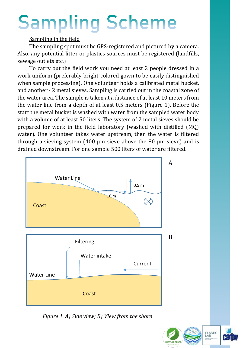# **Sampling Scheme**

### Sampling in the field

The sampling spot must be GPS-registered and pictured by a camera. Also, any potential litter or plastics sources must be registered (landfills, sewage outlets etc.)

To carry out the field work you need at least 2 people dressed in a work uniform (preferably bright-colored gown to be easily distinguished when sample processing). One volunteer holds a calibrated metal bucket, and another - 2 metal sieves. Sampling is carried out in the coastal zone of the water area. The sample is taken at a distance of at least 10 meters from the water line from a depth of at least 0.5 meters (Figure 1). Before the start the metal bucket is washed with water from the sampled water body with a volume of at least 50 liters. The system of 2 metal sieves should be prepared for work in the field laboratory (washed with distilled (MQ) water). One volunteer takes water upstream, then the water is filtered through a sieving system  $(400 \mu m)$  sieve above the 80  $\mu$ m sieve) and is drained downstream. For one sample 500 liters of water are filtered.



*Figure 1. A) Side view; B) View from the shore*

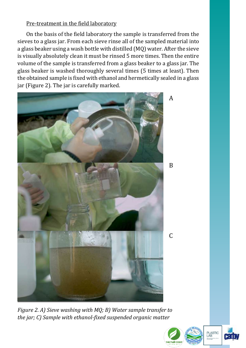### Pre-treatment in the field laboratory

On the basis of the field laboratory the sample is transferred from the sieves to a glass jar. From each sieve rinse all of the sampled material into a glass beaker using a wash bottle with distilled (MQ) water. After the sieve is visually absolutely clean it must be rinsed 5 more times. Then the entire volume of the sample is transferred from a glass beaker to a glass jar. The glass beaker is washed thoroughly several times (5 times at least). Then the obtained sample is fixed with ethanol and hermetically sealed in a glass jar (Figure 2). The jar is carefully marked.



*Figure 2. A) Sieve washing with MQ; B) Water sample transfer to the jar; C) Sample with ethanol-fixed suspended organic matter*